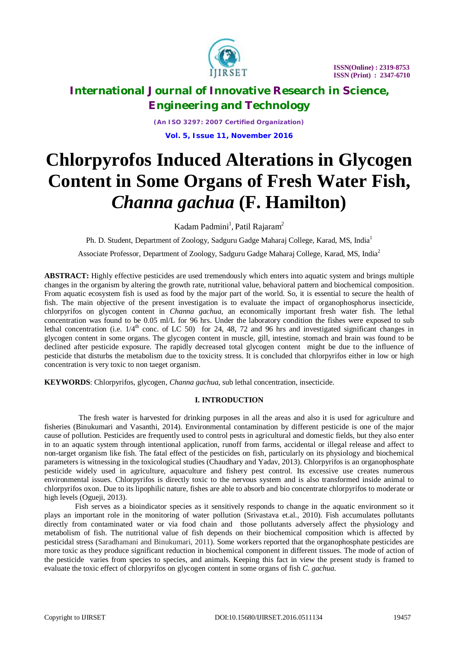

*(An ISO 3297: 2007 Certified Organization)* **Vol. 5, Issue 11, November 2016**

# **Chlorpyrofos Induced Alterations in Glycogen Content in Some Organs of Fresh Water Fish,**  *Channa gachua* **(F. Hamilton)**

Kadam Padmini<sup>1</sup>, Patil Rajaram<sup>2</sup>

Ph. D. Student, Department of Zoology, Sadguru Gadge Maharaj College, Karad, MS, India<sup>1</sup>

Associate Professor, Department of Zoology, Sadguru Gadge Maharaj College, Karad, MS, India<sup>2</sup>

**ABSTRACT:** Highly effective pesticides are used tremendously which enters into aquatic system and brings multiple changes in the organism by altering the growth rate, nutritional value, behavioral pattern and biochemical composition. From aquatic ecosystem fish is used as food by the major part of the world. So, it is essential to secure the health of fish. The main objective of the present investigation is to evaluate the impact of organophosphorus insecticide, chlorpyrifos on glycogen content in *Channa gachua,* an economically important fresh water fish. The lethal concentration was found to be 0.05 ml/L for 96 hrs. Under the laboratory condition the fishes were exposed to sub lethal concentration (i.e.  $1/4$ <sup>th</sup> conc. of LC 50) for 24, 48, 72 and 96 hrs and investigated significant changes in glycogen content in some organs. The glycogen content in muscle, gill, intestine, stomach and brain was found to be declined after pesticide exposure. The rapidly decreased total glycogen content might be due to the influence of pesticide that disturbs the metabolism due to the toxicity stress. It is concluded that chlorpyrifos either in low or high concentration is very toxic to non taeget organism.

**KEYWORDS**: Chlorpyrifos, glycogen, *Channa gachua*, sub lethal concentration, insecticide.

### **I. INTRODUCTION**

 The fresh water is harvested for drinking purposes in all the areas and also it is used for agriculture and fisheries (Binukumari and Vasanthi, 2014). Environmental contamination by different pesticide is one of the major cause of pollution. Pesticides are frequently used to control pests in agricultural and domestic fields, but they also enter in to an aquatic system through intentional application, runoff from farms, accidental or illegal release and affect to non-target organism like fish. The fatal effect of the pesticides on fish, particularly on its physiology and biochemical parameters is witnessing in the toxicological studies (Chaudhary and Yadav, 2013). Chlorpyrifos is an organophosphate pesticide widely used in agriculture, aquaculture and fishery pest control. Its excessive use creates numerous environmental issues. Chlorpyrifos is directly toxic to the nervous system and is also transformed inside animal to chlorpyrifos oxon. Due to its lipophilic nature, fishes are able to absorb and bio concentrate chlorpyrifos to moderate or high levels (Ogueji, 2013).

 Fish serves as a bioindicator species as it sensitively responds to change in the aquatic environment so it plays an important role in the monitoring of water pollution (Srivastava et.al., 2010). Fish accumulates pollutants directly from contaminated water or via food chain and those pollutants adversely affect the physiology and metabolism of fish. The nutritional value of fish depends on their biochemical composition which is affected by pesticidal stress (Saradhamani and Binukumari, 2011). Some workers reported that the organophosphate pesticides are more toxic as they produce significant reduction in biochemical component in different tissues. The mode of action of the pesticide varies from species to species, and animals. Keeping this fact in view the present study is framed to evaluate the toxic effect of chlorpyrifos on glycogen content in some organs of fish *C. gachua*.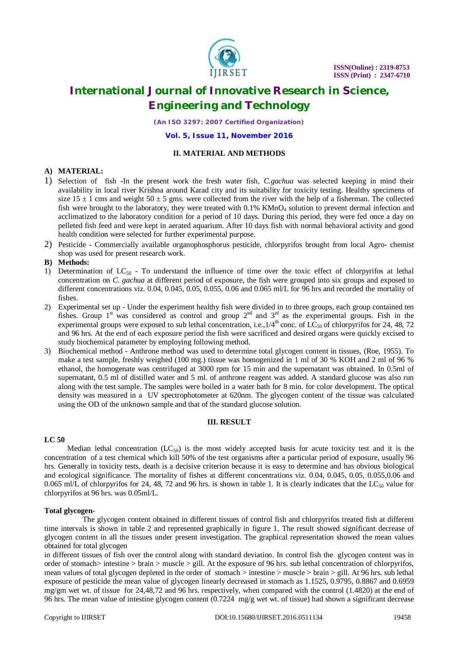

*(An ISO 3297: 2007 Certified Organization)*

**Vol. 5, Issue 11, November 2016**

### **II. MATERIAL AND METHODS**

### **A) MATERIAL:**

- 1) Selection of fish -In the present work the fresh water fish, *C.gachua* was selected keeping in mind their availability in local river Krishna around Karad city and its suitability for toxicity testing. Healthy specimens of size  $15 \pm 1$  cms and weight  $50 \pm 5$  gms. were collected from the river with the help of a fisherman. The collected fish were brought to the laboratory, they were treated with  $0.1\%$  KMnO<sub>4</sub> solution to prevent dermal infection and acclimatized to the laboratory condition for a period of 10 days. During this period, they were fed once a day on pelleted fish feed and were kept in aerated aquarium. After 10 days fish with normal behavioral activity and good health condition were selected for further experimental purpose.
- 2) Pesticide Commercially available organophosphorus pesticide, chlorpyrifos brought from local Agro- chemist shop was used for present research work.

### **B) Methods:**

- 1) Determination of  $LC_{50}$  To understand the influence of time over the toxic effect of chlorpyrifos at lethal concentration on *C. gachua* at different period of exposure, the fish were grouped into six groups and exposed to different concentrations viz. 0.04, 0.045, 0.05, 0.055, 0.06 and 0.065 ml/L for 96 hrs and recorded the mortality of fishes.
- 2) Experimental set up Under the experiment healthy fish were divided in to three groups, each group contained ten fishes. Group  $1<sup>st</sup>$  was considered as control and group  $2<sup>nd</sup>$  and  $3<sup>rd</sup>$  as the experimental groups. Fish in the experimental groups were exposed to sub lethal concentration, i.e.,  $1/4^{\text{th}}$  conc. of  $LC_{50}$  of chlorpyrifos for 24, 48, 72 and 96 hrs. At the end of each exposure period the fish were sacrificed and desired organs were quickly excised to study biochemical parameter by employing following method.
- 3) Biochemical method Anthrone method was used to determine total glycogen content in tissues, (Roe, 1955). To make a test sample, freshly weighed (100 mg.) tissue was homogenized in 1 ml of 30 % KOH and 2 ml of 96 % ethanol, the homogenate was centrifuged at 3000 rpm for 15 min and the supernatant was obtained. In 0.5ml of supernatant, 0.5 ml of distilled water and 5 ml. of anthrone reagent was added. A standard glucose was also run along with the test sample. The samples were boiled in a water bath for 8 min. for color development. The optical density was measured in a UV spectrophotometer at 620nm. The glycogen content of the tissue was calculated using the OD of the unknown sample and that of the standard glucose solution.

#### **III. RESULT**

#### **LC 50**

Median lethal concentration  $(LC_{50})$  is the most widely accepted basis for acute toxicity test and it is the concentration of a test chemical which kill 50% of the test organisms after a particular period of exposure, usually 96 hrs. Generally in toxicity tests, death is a decisive criterion because it is easy to determine and has obvious biological and ecological significance. The mortality of fishes at different concentrations viz. 0.04, 0.045, 0.05, 0.055,0.06 and 0.065 ml/L of chlorpyrifos for 24, 48, 72 and 96 hrs. is shown in table 1. It is clearly indicates that the  $LC_{50}$  value for chlorpyrifos at 96 hrs. was 0.05ml/L.

### **Total glycogen**-

 The glycogen content obtained in different tissues of control fish and chlorpyrifos treated fish at different time intervals is shown in table 2 and represented graphically in figure 1. The result showed significant decrease of glycogen content in all the tissues under present investigation. The graphical representation showed the mean values obtained for total glycogen

in different tissues of fish over the control along with standard deviation. In control fish the glycogen content was in order of stomach> intestine > brain > muscle > gill. At the exposure of 96 hrs. sub lethal concentration of chlorpyrifos, mean values of total glycogen depleted in the order of stomach > intestine > muscle > brain > gill. At 96 hrs. sub lethal exposure of pesticide the mean value of glycogen linearly decreased in stomach as 1.1525, 0.9795, 0.8867 and 0.6959 mg/gm wet wt. of tissue for 24,48,72 and 96 hrs. respectively, when compared with the control (1.4820) at the end of 96 hrs. The mean value of intestine glycogen content (0.7224 mg/g wet wt. of tissue) had shown a significant decrease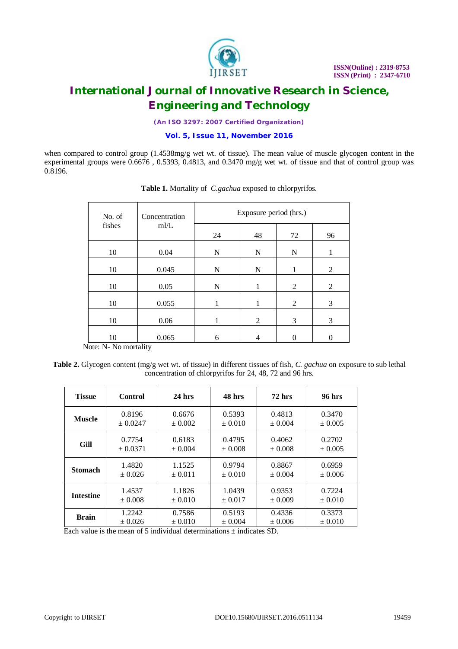

*(An ISO 3297: 2007 Certified Organization)*

### **Vol. 5, Issue 11, November 2016**

when compared to control group  $(1.4538mg/g$  wet wt. of tissue). The mean value of muscle glycogen content in the experimental groups were 0.6676 , 0.5393, 0.4813, and 0.3470 mg/g wet wt. of tissue and that of control group was 0.8196.

| No. of | Concentration<br>m/L | Exposure period (hrs.) |    |    |    |
|--------|----------------------|------------------------|----|----|----|
| fishes |                      | 24                     | 48 | 72 | 96 |
| 10     | 0.04                 | N                      | N  | N  |    |
| 10     | 0.045                | N                      | N  |    | 2  |
| 10     | 0.05                 | N                      | 1  | 2  | 2  |
| 10     | 0.055                |                        |    | 2  | 3  |
| 10     | 0.06                 |                        | 2  | 3  | 3  |
| 10     | 0.065                | 6                      | 4  |    |    |

**Table 1.** Mortality of *C.gachua* exposed to chlorpyrifos.

Note: N- No mortality

**Table 2.** Glycogen content (mg/g wet wt. of tissue) in different tissues of fish, *C. gachua* on exposure to sub lethal concentration of chlorpyrifos for 24, 48, 72 and 96 hrs.

| <b>Tissue</b>    | <b>Control</b> | $24$ hrs    | 48 hrs      | $72$ hrs    | <b>96 hrs</b> |
|------------------|----------------|-------------|-------------|-------------|---------------|
| <b>Muscle</b>    | 0.8196         | 0.6676      | 0.5393      | 0.4813      | 0.3470        |
|                  | $\pm 0.0247$   | $\pm 0.002$ | $\pm 0.010$ | $\pm 0.004$ | $\pm 0.005$   |
| <b>Gill</b>      | 0.7754         | 0.6183      | 0.4795      | 0.4062      | 0.2702        |
|                  | $\pm 0.0371$   | $\pm 0.004$ | $\pm 0.008$ | ± 0.008     | $+0.005$      |
| <b>Stomach</b>   | 1.4820         | 1.1525      | 0.9794      | 0.8867      | 0.6959        |
|                  | $+0.026$       | $\pm 0.011$ | $\pm 0.010$ | $\pm 0.004$ | $+0.006$      |
| <b>Intestine</b> | 1.4537         | 1.1826      | 1.0439      | 0.9353      | 0.7224        |
|                  | $\pm 0.008$    | $\pm 0.010$ | $\pm 0.017$ | $\pm 0.009$ | $\pm 0.010$   |
| <b>Brain</b>     | 1.2242         | 0.7586      | 0.5193      | 0.4336      | 0.3373        |
|                  | ± 0.026        | $\pm 0.010$ | ± 0.004     | ± 0.006     | ± 0.010       |

Each value is the mean of 5 individual determinations  $\pm$  indicates SD.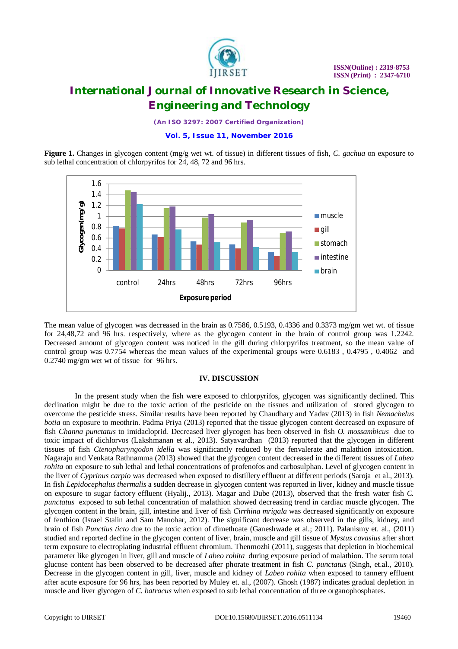

*(An ISO 3297: 2007 Certified Organization)*

### **Vol. 5, Issue 11, November 2016**

**Figure 1.** Changes in glycogen content (mg/g wet wt. of tissue) in different tissues of fish, *C. gachua* on exposure to sub lethal concentration of chlorpyrifos for 24, 48, 72 and 96 hrs.



The mean value of glycogen was decreased in the brain as 0.7586, 0.5193, 0.4336 and 0.3373 mg/gm wet wt. of tissue for 24,48,72 and 96 hrs. respectively, where as the glycogen content in the brain of control group was 1.2242. Decreased amount of glycogen content was noticed in the gill during chlorpyrifos treatment, so the mean value of control group was 0.7754 whereas the mean values of the experimental groups were 0.6183 , 0.4795 , 0.4062 and 0.2740 mg/gm wet wt of tissue for 96 hrs.

### **IV. DISCUSSION**

 In the present study when the fish were exposed to chlorpyrifos, glycogen was significantly declined. This declination might be due to the toxic action of the pesticide on the tissues and utilization of stored glycogen to overcome the pesticide stress. Similar results have been reported by Chaudhary and Yadav (2013) in fish *Nemachelus botia* on exposure to meothrin. Padma Priya (2013) reported that the tissue glycogen content decreased on exposure of fish *Channa punctatus* to imidacloprid*.* Decreased liver glycogen has been observed in fish *O. mossambicus* due to toxic impact of dichlorvos (Lakshmanan et al., 2013). Satyavardhan (2013) reported that the glycogen in different tissues of fish *Ctenopharyngodon idella* was significantly reduced by the fenvalerate and malathion intoxication. Nagaraju and Venkata Rathnamma (2013) showed that the glycogen content decreased in the different tissues of *Labeo rohita* on exposure to sub lethal and lethal concentrations of profenofos and carbosulphan. Level of glycogen content in the liver of *Cyprinus carpio* was decreased when exposed to distillery effluent at different periods (Saroja et al., 2013). In fish *Lepidocephalus thermalis* a sudden decrease in glycogen content was reported in liver, kidney and muscle tissue on exposure to sugar factory effluent (Hyalij., 2013). Magar and Dube (2013), observed that the fresh water fish *C. punctatus* exposed to sub lethal concentration of malathion showed decreasing trend in cardiac muscle glycogen. The glycogen content in the brain, gill, intestine and liver of fish *Cirrhina mrigala* was decreased significantly on exposure of fenthion (Israel Stalin and Sam Manohar, 2012). The significant decrease was observed in the gills, kidney, and brain of fish *Punctius ticto* due to the toxic action of dimethoate (Ganeshwade et al.; 2011). Palanismy et. al., (2011) studied and reported decline in the glycogen content of liver, brain, muscle and gill tissue of *Mystus cavasius* after short term exposure to electroplating industrial effluent chromium. Thenmozhi (2011), suggests that depletion in biochemical parameter like glycogen in liver, gill and muscle of *Labeo rohita* during exposure period of malathion. The serum total glucose content has been observed to be decreased after phorate treatment in fish *C. punctatus* (Singh, et.al., 2010). Decrease in the glycogen content in gill, liver, muscle and kidney of *Labeo rohita* when exposed to tannery effluent after acute exposure for 96 hrs, has been reported by Muley et. al., (2007). Ghosh (1987) indicates gradual depletion in muscle and liver glycogen of *C. batracus* when exposed to sub lethal concentration of three organophosphates.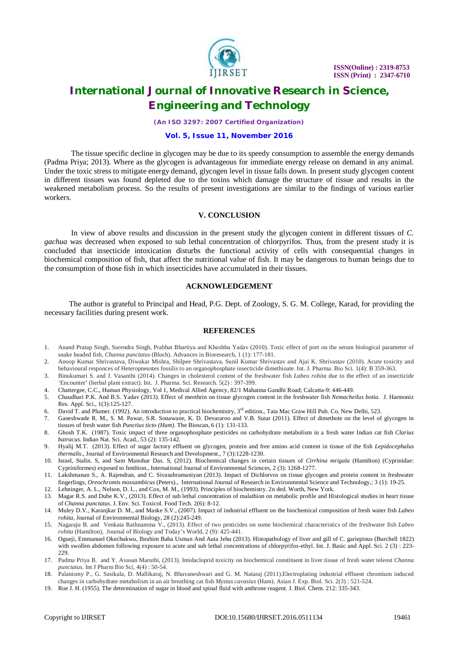

*(An ISO 3297: 2007 Certified Organization)*

#### **Vol. 5, Issue 11, November 2016**

 The tissue specific decline in glycogen may be due to its speedy consumption to assemble the energy demands (Padma Priya; 2013). Where as the glycogen is advantageous for immediate energy release on demand in any animal. Under the toxic stress to mitigate energy demand, glycogen level in tissue falls down. In present study glycogen content in different tissues was found depleted due to the toxins which damage the structure of tissue and results in the weakened metabolism process. So the results of present investigations are similar to the findings of various earlier workers.

### **V. CONCLUSION**

 In view of above results and discussion in the present study the glycogen content in different tissues of *C. gachua* was decreased when exposed to sub lethal concentration of chlorpyrifos. Thus, from the present study it is concluded that insecticide intoxication disturbs the functional activity of cells with consequential changes in biochemical composition of fish, that affect the nutritional value of fish. It may be dangerous to human beings due to the consumption of those fish in which insecticides have accumulated in their tissues.

### **ACKNOWLEDGEMENT**

 The author is grateful to Principal and Head, P.G. Dept. of Zoology, S. G. M. College, Karad, for providing the necessary facilities during present work.

#### **REFERENCES**

- 1. Anand Pratap Singh, Surendra Singh, Prabhat Bhartiya and Khushbu Yadav (2010). Toxic effect of port on the serum biological parameter of snake headed fish, *Channa punctatus* (Bloch). Advances in Bioresearch, 1 (1): 177-181.
- 2. Anoop Kumar Shrivastava, Diwakar Mishra, Shilpee Shrivastava, Sunil Kumar Shrivastav and Ajai K. Shrivastav (2010). Acute toxicity and behavioural responces of Heteropneustes fossilis to an organophosphate insecticide dimethioate. Int. J. Pharma. Bio Sci. 1(4): B 359-363.
- 3. Binukumari S. and J. Vasanthi (2014). Changes in cholesterol content of the freshwater fish *Labeo rohita* due to the effect of an insecticide 'Encounter' (herbal plant extract). Int. J. Pharma. Sci. Research. 5(2) : 397-399.
- 4. Chattergee, C.C., Human Physiology, Vol 1, Medical Allied Agency, 82/1 Mahatma Gandhi Road; Calcatta-9: 446-449.
- 5. Chaudhari P.K. And B.S. Yadav (2013). Effect of meothrin on tissue glycogen content in the freshwater fish *Nemacheilus botia.* J. Harmoniz Res. Appl. Sci., 1(3):125-127.
- 6. David T. and Plumer. (1992). An introduction to practical biochemistry,  $3^{rd}$  edition., Tata Mac Graw Hill Pub. Co. New Delhi, 523.
- 7. Ganeshwade R. M., S. M. Pawar, S.R. Sonawane, K. D. Devararoo and V.B. Sutar (2011). Effect of dimethote on the level of glycogen in tissues of fresh water fish *Punctius ticto (Ham).* The Bioscan, 6 (1): 131-133.
- 8. Ghosh T.K. (1987). Toxic impact of three organophosphate pesticides on carbohydrate metabolism in a fresh water Indian cat fish *Clarius batracus*. Indian Nat. Sci. Acad., 53 (2): 135-142.
- 9. Hyalij M.T. (2013). Effect of sugar factory effluent on glycogen, protein and free amino acid content in tissue of the fish *Lepidocephalus thermalis*., Journal of Environmental Research and Development., 7 (3):1228-1230.
- 10. Israel, Stalin. S, and Sam Manohar Das. S, (2012). Biochemical changes in certain tissues of *Cirrhina mrigala* (Hamilton) (Cyprinidae: Cypriniformes) exposed to fenthion., International Journal of Environmental Sciences, 2 (3): 1268-1277.
- 11. Lakshmanan S., A. Rajendran, and C. Sivasubramaniyan (2013). Impact of Dichlorvos on tissue glycogen and protein content in freshwater fingerlings, *Oreochromis mossambicus* (Peters)., International Journal of Research in Environmental Science and Technology,: 3 (1): 19-25.
- 12. Lehninger, A. L., Nelson, D. L., and Cox, M. M., (1993). Principles of biochemistry. 2n ded. Worth, New York.
- 13. Magar R.S. and Dube K.V., (2013). Effect of sub lethal concentration of malathion on metabolic profile and Histological studies in heart tissue of *Channa punctatus*. J. Env. Sci. Toxicol. Food Tech. 2(6): 8-12.
- 14. Muley D.V., Karanjkar D. M., and Maske S.V., (2007). Impact of industrial effluent on the biochemical composition of fresh water fish *Labeo rohita,* Journal of Environmental Biology, 28 (2):245-249.
- 15. Nagaraju B. and Venkata Rathnamma V., (2013). Effect of two pesticides on some biochemical characteristics of the freshwater fish *Labeo rohita* (Hamilton), Journal of Biology and Today's World, 2 (9): 425-441.
- 16. Ogueji, Emmanuel Okechukwu, Ibrahim Baba Usman And Auta Jehu (2013). Histopathology of liver and gill of C. gariepinus (Burchell 1822) with swollen abdomen following exposure to acute and sub lethal concentrations of chlorpyrifos-ethyl. Int. J. Basic and Appl. Sci. 2 (3) : 223-229.
- 17. Padma Priya B. and Y. Avasan Maruthi, (2013). Imidacloprid toxicity on biochemical constituent in liver tissue of fresh water teleost *Channa punctatus.* Int J Pharm Bio Sci, 4(4) : 50-54.
- 18. Palanismy P., G. Sasikala, D. Mallikaraj, N. Bhuvaneshwari and G. M. Nataraj (2011).Electroplating industrial effluent chromium induced changes in carbohydrate metabolism in an air breathing cat fish *Mystus cavasius* (Ham). Asian J. Exp. Biol. Sci. 2(3) : 521-524.
- 19. Roe J. H. (1955). The determination of sugar in blood and spinal fluid with anthrone reagent. J. Biol. Chem. 212: 335-343.